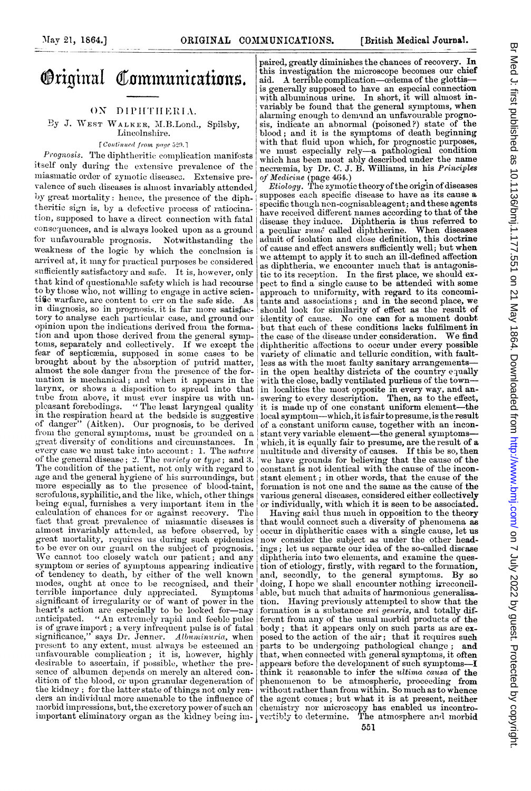# **Original Communications.**

## ON DIPHTHERIA.

By J. WEST WALKER, M.B.Lond., Spilsby, Lincolnshire.

[Continued from page 529.]

Prognosis. The diphtheritic complication manifests itself only during the extensive prevalence of the miasmatic order of zymotic diseases. Extensive prevalence of such diseases is almost invariably attended by great mortality: hence, the presence of the diphtheritic sign is, by a defective process of ratiocination, supposed to have a direct connection vith fatal consequences, and is always looked upon as a ground for unfavourable prognosis. Notwithstanding the weakness of the logic by which the conclusion is arrived at, it may for practical purposes be considered sufficiently satisfactory and safe. It is, however, only that kind of questionable safety which is had recourse to by those who, not willing to engage in active scientific warfare, are content to err on the safe side. As in diagnosis, so in prognosis, it is far more satisfactory to analyse each particular case, and ground our opinion upon the indications derived from the formation and upon those derived from the general symptoms, separately and collectively. If we except the fear of septicæmia, supposed in some cases to be brought about by the absorption of putrid matter, almost the sole danger from the presence of the formation is mechanical; and when it appears in the larynx, or shows a disposition to spread into that tube from above, it must ever inspire us with un-<br>pleasant forebodings. "The least laryngeal quality in the respiration heard at the bedside is suggestive of danger" (Aitken). Our prognosis, to be derived from the general symptoms, must be grounded on a great diversity of conditions and circumstances. In great diversity of conditions and circumstances. every case we must take into account: 1. The nature of the general disease; 2. The variety or type; and 3. The condition of the patient, not only with regard to age and the general hygiene of his surroundings, but more especially as to the presence of blood-taint, scrofulous, syphilitic, and the like, which, other things being equal, furnishes a very important item in the calculation of chances for or against recovery. The fact that great prevalence of miasmatic diseases is almost invariably attended, as before observed, by great mortality, requires us during such epidemics<br>to be ever on our guard on the subject of prognosis.<br>We cannot too closely watch our patient; and any symptom or series of symptoms appearing indicative<br>of tendency to death, by either of the well known<br>modes, ought at once to be recognised, and their terrible importance duly appreciated. Symptoms significant of irregularity or of want of power in the heart's action are especially to be looked for-nay anticipated. "An extremely rapid and feeble pulse is of grave import ; a very infrequent pulse is of fatal<br>significance," says Dr. Jenner. Albuminuria, when present to any extent, must always be esteemed an unfavourable complication; it is, however, highly desirable to ascertain, if possible, whether the presence of albumen depends on merely an altered condition of the blood, or upon granular degeneration of the kidney; for the latter state of things not only renders an individual more amenable to the influence of morbid impressions, but, the excretory power of such an important eliminatory organ as the kidney being im- vertibly to determine.

paired, greatly diminishes the chances of recovery. In this investigation the microscope becomes our chief aid. A terrible complication-cedema of the glottisis generally supposed to have an especial connection with albuminous urine. In short, it will almost invariably be found that the general symptoms, when alarming enough to demand an unfavourable prognosis, indieate an abnormal (poisoned?) state of the blood; and it is the symptoms of death beginning with that fluid upon which, for prognostic purposes, we must especially rely-a pathological condition which has been most ably described under the name necræmia, by Dr. C. J. B. Williams, in his Principles

of Medicine (page 464.)<br>Etiology. The zymotic theory of the origin of diseases supposes each specific disease to have as its cause a specific though non-cognisableagent; and these agents have received different names according to that of the disease they induce. Diphtheria is thus referred to a peculiar zume called diphtherine. When diseases admit of isolation and close definition, this doctrine of cause and effect answers sufficiently well; but when we attempt to apply it to such an ill-defined affection as diphtheria, we encounter much that is antagonistic to its reception. In the first place, we should expect to find a single cause to be attended with some approach to uniformity, with regard to its concomitants and associations; and in the second place, we should look for similarity of effect as the result of identity of cause. No one can for a moment doubt but that each of these conditions lacks fulfilment in the case of the disease under consideration. We find diphtheritic affections to occur under every possible variety of climnatic and telluric condition, with faultless as with the most faulty sanitary arrangementsin the open healthy districts of the country equally with the close, badly ventilated purlieus of the town-in localities the most opposite in every way, and an-swering to every description. Then, as to the effect, it is made up of one constant uniform element-the local symptom—which, it is fair to presume, is the result of a constant uniform cause, together with an incon-<br>stant very variable element—the general symptoms which, it is equally fair to presume, are the result of a multitude and diversity of causes. If this be so, then we have grounds for believing that the cause of the constant is not identical with the cause of the inconstant element; in other words, that the cause of the formation is not one and the same as the cause of the various general diseases, considered either collectively or individually, with which it is seen to be associated.

Having said thus much in opposition to the theory that would connect such a diversity of phenomena as occur in diphtheritic cases with a single cause, let us now consider the subject as under the other headings; let us separate our idea of the so-called disease diphtheria into two elements, and examine the question of etiology, firstly, with regard to the formation, and, secondly, to the general symptoms. By so doing, I hope we shall encounter nothing irreconcilable, but much that admits of harmonious generalisation. Having previously attempted to show that the formation is a substance sui generis, and totally different from any of the usual morbid products of the body; that it appears only on such parts as are ex-posed to the action of the air; that it requires such parts to be undergoing pathological change; and that, when connected with general symptoms, it often appears before the development of such symptomsthink it reasonable to infer the ultima causa of the phenomenon to be atmospheric, proceeding from<br>without rather than from within. So much as to whence the agent comes; but what it is at present, neither chemistry nor microscopy has enabled us incontro-<br>vertibly to determine. The atmosphere and morbid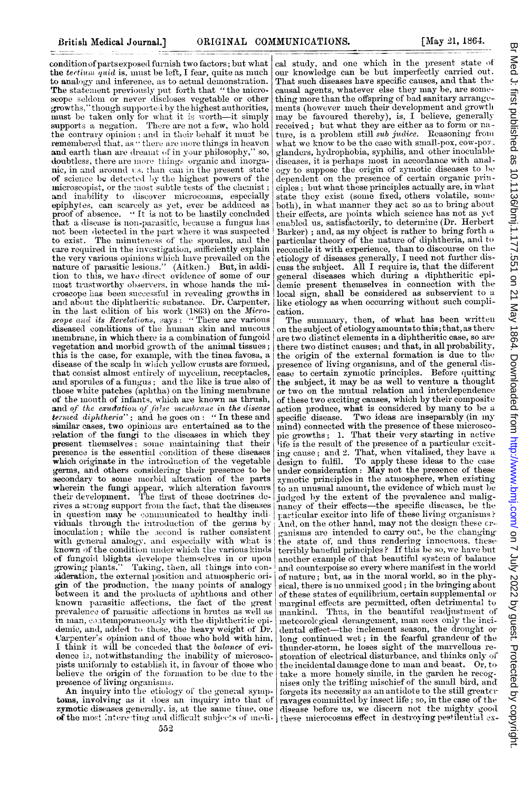condition of parts exposed furnish two factors; but what the tertium quid is, must be left, I fear, quite as much to analogy and inference, as to actual demonstration. The statement previously put forth that "the micro-scope seldom or never discloses vegetable or other growths," though supported by the highest authorities, must be taken only for what it is worth-it simply<br>supports a negation. There are not a few, who hold the contrary opinion ; and in their behalf it must be remembered that, as "there are more things in heaven ' so, and earth than are dreamt of in your philosophy, doubtless, there are more things organic and inorgamic, in and around us, than can in the present state<br>of science be detected by the highest powers of the<br>microscopist, or the most subtle tests of the chemist; and inability to discover microeosms, especially epiphytes, can scarcely as yet, ever be adduced as proof of absence. "It is not to be hastily concluded that a disease is non-parasitic, because a fungus has not been detected in the part where it was suspected to exist. The minuteness of the sporules, and the care required in the investigation, sufficiently explain the very various opinions which have prevailed on the nature of parasitic lesions." (Aitken.) But, in addition to this, we have direct evidence of some of our most trustworthy observers, in whose hands the microscope has been successful in revealing growths in and about the diphtheritic substance. Dr. Carpenter, in the last edition of his work (1863) on the Microscope and its Revelations, says: "There are various diseased conditions of the human skin and mucous membrane, in which there is a combination of fungoid vegetation and morbid growth of the animal tissues; this is the case, for example, with the tinea favosa, a disease of the scalp in which yellow crusts are formed, that consist almost entirely of mycelium, receptacles, and sporules of a fungus; and the like is true also of those white patches (aphtha) on the lining membrane<br>of the mouth of infants, which are known as thrush, and of the exudation of false membrane in the disease termed diphtheria"; and he goes on : "In these and similar cases, two opinions are entertained as to the relation of the fungi to the diseases in which they present themselves; some maintaining that their presence is the essential condition of these diseases which originate in the introduction of the vegetable germs, and others considering their presence to be<br>secondary to some morbid alteration of the parts wherein the fungi appear, which alteration favours<br>their development. The first of these doctrines derives a strong support from the fact, that the diseases in question may be communicated to healthy indiriduals through the introduction of the germs by<br>moculation; while the second is rather consistent with general analogy, and especially with what is known of the condition under which the various kinds of fungoid blights develope themselves in or upon<br>growing plants." Taking, then, all things into consideration, the external position and atmospheric origin of the production, the many points of analogy between it and the products of aphthous and other known parasitic affections, the fact of the great prevalence of parasitic affections in brutes as well as in man, contemporaneously with the diphtheritic epidemic, and, added to these, the heavy weight of Dr. Carpenter's opinion and of those who hold with him, I think it will be conceded that the balance of evidence is, notwithstanding the inability of microscopists uniformly to establish it, in favour of those who believe the origin of the formation to be due to the presence of living organisms.

An inquiry into the etiology of the general symptoms, involving as it does an inquiry into that of

cal study, and one which in the present state of our knowledge can be but imperfectly carried out. That such diseases have specific causes, and that the causal agents, whatever else they may be, are something more than the offspring of bad sanitary arrangements (however much their development and growth may be favoured thereby), is, I believe, generally received; but what they are either as to form or nature, is a problem still sub judice. Reasoning from what we know to be the case with small-pox, cow-pox. glanders, hydrophobia, syphilis, and other inoculable diseases, it is perhaps most in accordance with analogy to suppose the origin of zymotic diseases to be dependent on the presence of certain organic principles; but what these principles actually are, in what state they exist (some fixed, others volatile, some both), in what manner they act so as to bring about their effects, are points which science has not as yet enabled us, satisfactorily, to determine (Dr. Herbert Barker) ; and, as my object is rather to bring forth a particular theory of the nature of diphtheria, and to parameter and the experience, than to discourse on the etiology of diseases generally, I need not further discuss the subject. All I require is, that the different general diseases which during a diphtheritic epilocal sign, shall be considered as subservient to a like etiology as when occurring without such complication.

The summary, then, of what has been written on the subject of etiology amounts to this; that, as there are two distinct elements in a diphtheritic case, so are there two distinct causes; and that, in all probability, the origin of the external formation is due to the presence of living organisms, and of the general disease to certain zymotic principles. Before quitting the subject, it may be as well to venture a thought or two on the mutual relation and interdependence of these two exciting causes, which by their composite action produce, what is considered by many to be a specific disease. Two ideas are inseparably (in my mind) connected with the presence of these microscopic growths; 1. That their very starting in active ife is the result of the presence of a particular exciting cause; and 2. That, when vitalised, they have a<br>design to fulfil. To apply these ideas to the case under consideration: May not the presence of these<br>zymotic principles in the atmosphere, when existing to an unusual amount, the evidence of which must be judged by the extent of the prevalence and malignancy of their effects—the specific diseases, be the particular excitor into life of these living organisms? And, on the other hand, may not the design these crganisms are intended to carry out, be the changing the state of, and thus rendering innocuous, theseterribly baneful principles? If this be so, we have but another example of that beautiful system of balance and counterpoise so every where manifest in the world of nature; but, as in the moral world, so in the physical, there is no unmixed good; in the bringing about of these states of equilibrium, certain supplemental or marginal effects are permitted, often detrimental to mankind. Thus, in the beautiful readjustment of meteorological derangement, man sees only the incidental effect-the inclement season, the drought or long continued wet; in the fearful grandeur of the thunder-storm, he loses sight of the marvellous restoration of electrical disturbance, and thinks only of the incidental damage done to man and beast. Or, to take a more homely simile, in the garden he recognises only the trifting mischief of the small bird, and forgets its necessity as an antidote to the still greaterravages committed by insect life; so, in the case of the zymotic diseases generally, is, at the same time, one disease before us, we discern not the mighty good of the most interesting and difficult subjects of medi- these microcosms effect in destroying pestilential ex